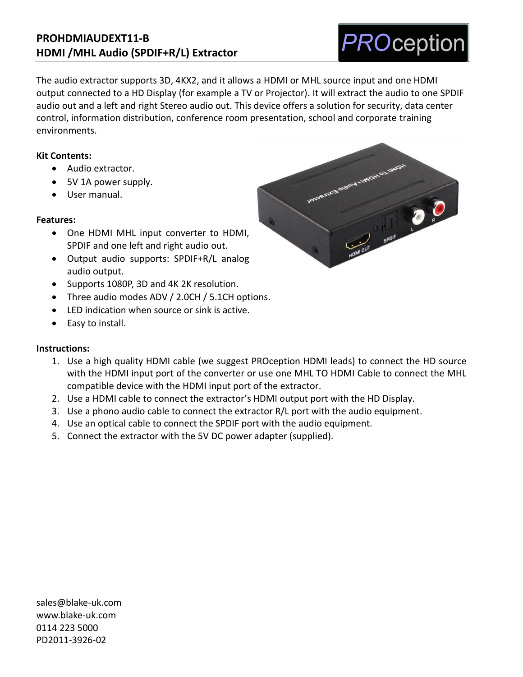## **PROHDMIAUDEXT11-B HDMI /MHL Audio (SPDIF+R/L) Extractor**

The audio extractor supports 3D, 4KX2, and it allows a HDMI or MHL source input and one HDMI output connected to a HD Display (for example a TV or Projector). It will extract the audio to one SPDIF audio out and a left and right Stereo audio out. This device offers a solution for security, data center control, information distribution, conference room presentation, school and corporate training environments.

#### **Kit Contents:**

- Audio extractor.
- 5V 1A power supply.
- User manual.

#### **Features:**

- One HDMI MHL input converter to HDMI, SPDIF and one left and right audio out.
- Output audio supports: SPDIF+R/L analog audio output.
- Supports 1080P, 3D and 4K 2K resolution.
- Three audio modes ADV / 2.0CH / 5.1CH options.
- LED indication when source or sink is active.
- Easy to install.

#### **Instructions:**

- 1. Use a high quality HDMI cable (we suggest PROception HDMI leads) to connect the HD source with the HDMI input port of the converter or use one MHL TO HDMI Cable to connect the MHL compatible device with the HDMI input port of the extractor.
- 2. Use a HDMI cable to connect the extractor's HDMI output port with the HD Display.
- 3. Use a phono audio cable to connect the extractor R/L port with the audio equipment.
- 4. Use an optical cable to connect the SPDIF port with the audio equipment.
- 5. Connect the extractor with the 5V DC power adapter (supplied).

[sales@blake-uk.com](mailto:sales@blake-uk.com) [www.blake-uk.com](http://www.blake-uk.com/) 0114 223 5000 PD2011-3926-02



# **PROception**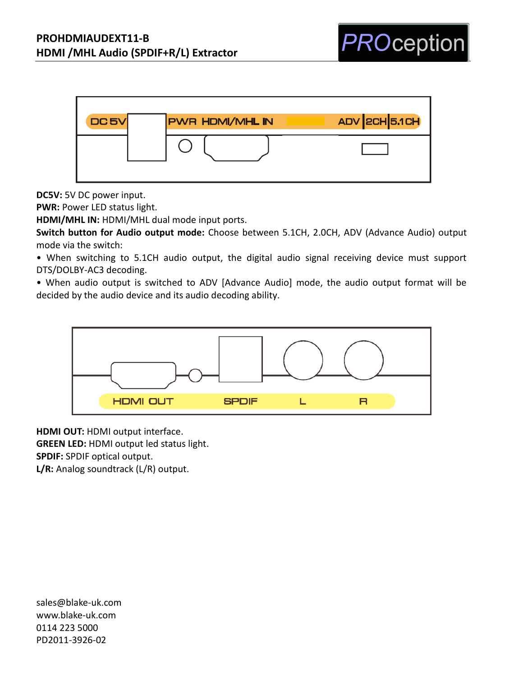

**DC5V:** 5V DC power input.

**PWR:** Power LED status light.

**HDMI/MHL IN:** HDMI/MHL dual mode input ports.

**Switch button for Audio output mode:** Choose between 5.1CH, 2.0CH, ADV (Advance Audio) output mode via the switch:

• When switching to 5.1CH audio output, the digital audio signal receiving device must support DTS/DOLBY-AC3 decoding.

• When audio output is switched to ADV [Advance Audio] mode, the audio output format will be decided by the audio device and its audio decoding ability.



**HDMI OUT:** HDMI output interface. **GREEN LED:** HDMI output led status light. **SPDIF:** SPDIF optical output. **L/R:** Analog soundtrack (L/R) output.

[sales@blake-uk.com](mailto:sales@blake-uk.com) [www.blake-uk.com](http://www.blake-uk.com/) 0114 223 5000 PD2011-3926-02